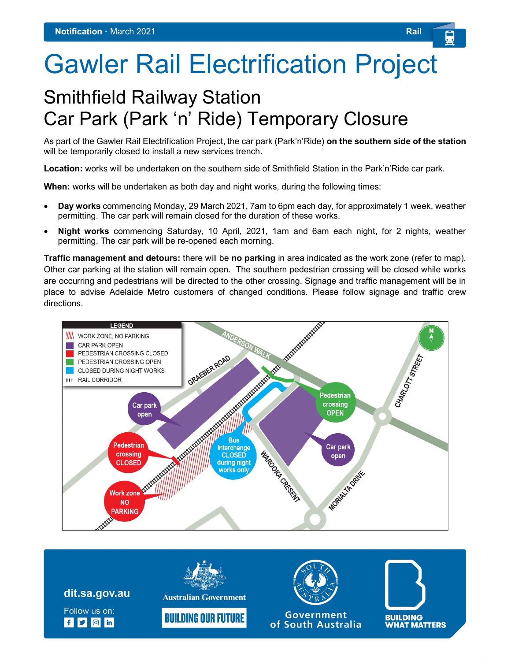## Gawler Rail Electrification Project

## Smithfield Railway Station Car Park (Park 'n' Ride) Temporary Closure

As part of the Gawler Rail Electrification Project, the car park (Park'n'Ride) on the southern side of the station will be temporarily closed to install a new services trench.

Location: works will be undertaken on the southern side of Smithfield Station in the Park'n'Ride car park.

When: works will be undertaken as both day and night works, during the following times:

- Day works commencing Monday, 29 March 2021, 7am to 6pm each day, for approximately 1 week, weather permitting. The car park will remain closed for the duration of these works.
- Night works commencing Saturday, 10 April, 2021, 1am and 6am each night, for 2 nights, weather permitting. The car park will be re-opened each morning.

Traffic management and detours: there will be no parking in area indicated as the work zone (refer to map). Other car parking at the station will remain open. The southern pedestrian crossing will be closed while works are occurring and pedestrians will be directed to the other crossing. Signage and traffic management will be in place to advise Adelaide Metro customers of changed conditions. Please follow signage and traffic crew directions.